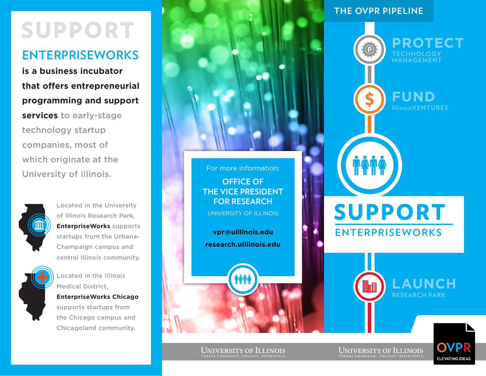# support

## **EnterpriseWorks**

**is a business incubator that offers entrepreneurial programming and support services** to early-stage technology startup companies, most of which originate at the University of Illinois.



Located in the University of Illinois Research Park, **EnterpriseWorks** supports startups from the Urbana-Champaign campus and central Illinois community.



Located in the Illinois Medical District, **EnterpriseWorks Chicago**

supports startups from the Chicago campus and Chicagoland community.



UNIVERSITY OF ILLINOIS

**vpr@uillinois.edu research.uillinois.edu**

### **the ovpr pipeline**



 $\underset{\text{URBANA-CHAMPAIGN}\, \text{CHICACO}\, \text{CHINOIS}}{\text{UNBANA-CHAMPAIGN}\, \text{CHICACO}\, \text{SPRINGFIELD}}$ 

 $\underset{\text{URBANA-CHAMPAIGN}\, \cdot \, \text{CHICACO}\, \cdot \, \text{SPRINGFIELD}}{\text{UNBMA-CHAMPAIGN}\, \cdot \, \text{CHICACO}\, \cdot \, \text{SPRINGFIELD}}$ 

**FI EVATING IDEAS**